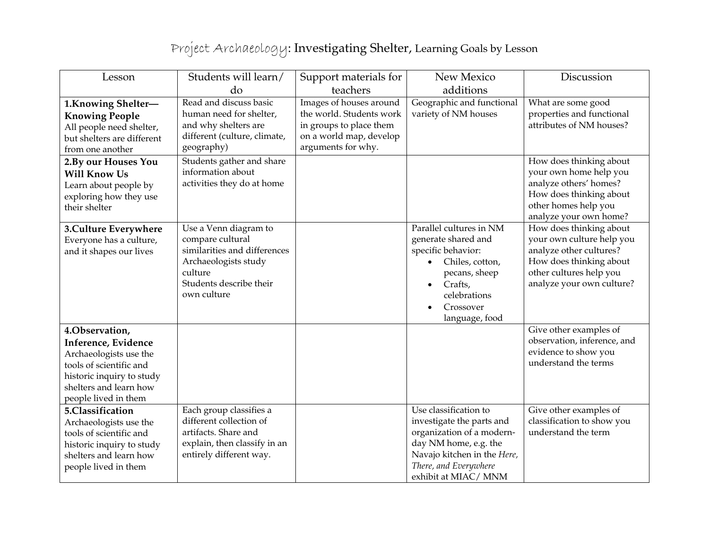## Project Archaeology: Investigating Shelter, Learning Goals by Lesson

| Lesson                                                                                                                                                                    | Students will learn/                                                                                                                                   | Support materials for                                                                                                           | New Mexico                                                                                                                                                                              | Discussion                                                                                                                                                         |
|---------------------------------------------------------------------------------------------------------------------------------------------------------------------------|--------------------------------------------------------------------------------------------------------------------------------------------------------|---------------------------------------------------------------------------------------------------------------------------------|-----------------------------------------------------------------------------------------------------------------------------------------------------------------------------------------|--------------------------------------------------------------------------------------------------------------------------------------------------------------------|
|                                                                                                                                                                           | do                                                                                                                                                     | teachers                                                                                                                        | additions                                                                                                                                                                               |                                                                                                                                                                    |
| 1. Knowing Shelter-<br><b>Knowing People</b><br>All people need shelter,<br>but shelters are different<br>from one another                                                | Read and discuss basic<br>human need for shelter,<br>and why shelters are<br>different (culture, climate,<br>geography)                                | Images of houses around<br>the world. Students work<br>in groups to place them<br>on a world map, develop<br>arguments for why. | Geographic and functional<br>variety of NM houses                                                                                                                                       | What are some good<br>properties and functional<br>attributes of NM houses?                                                                                        |
| 2. By our Houses You<br><b>Will Know Us</b><br>Learn about people by<br>exploring how they use<br>their shelter                                                           | Students gather and share<br>information about<br>activities they do at home                                                                           |                                                                                                                                 |                                                                                                                                                                                         | How does thinking about<br>your own home help you<br>analyze others' homes?<br>How does thinking about<br>other homes help you<br>analyze your own home?           |
| 3. Culture Everywhere<br>Everyone has a culture,<br>and it shapes our lives                                                                                               | Use a Venn diagram to<br>compare cultural<br>similarities and differences<br>Archaeologists study<br>culture<br>Students describe their<br>own culture |                                                                                                                                 | Parallel cultures in NM<br>generate shared and<br>specific behavior:<br>Chiles, cotton,<br>pecans, sheep<br>Crafts,<br>celebrations<br>Crossover<br>language, food                      | How does thinking about<br>your own culture help you<br>analyze other cultures?<br>How does thinking about<br>other cultures help you<br>analyze your own culture? |
| 4.Observation,<br>Inference, Evidence<br>Archaeologists use the<br>tools of scientific and<br>historic inquiry to study<br>shelters and learn how<br>people lived in them |                                                                                                                                                        |                                                                                                                                 |                                                                                                                                                                                         | Give other examples of<br>observation, inference, and<br>evidence to show you<br>understand the terms                                                              |
| 5.Classification<br>Archaeologists use the<br>tools of scientific and<br>historic inquiry to study<br>shelters and learn how<br>people lived in them                      | Each group classifies a<br>different collection of<br>artifacts. Share and<br>explain, then classify in an<br>entirely different way.                  |                                                                                                                                 | Use classification to<br>investigate the parts and<br>organization of a modern-<br>day NM home, e.g. the<br>Navajo kitchen in the Here,<br>There, and Everywhere<br>exhibit at MIAC/MNM | Give other examples of<br>classification to show you<br>understand the term                                                                                        |